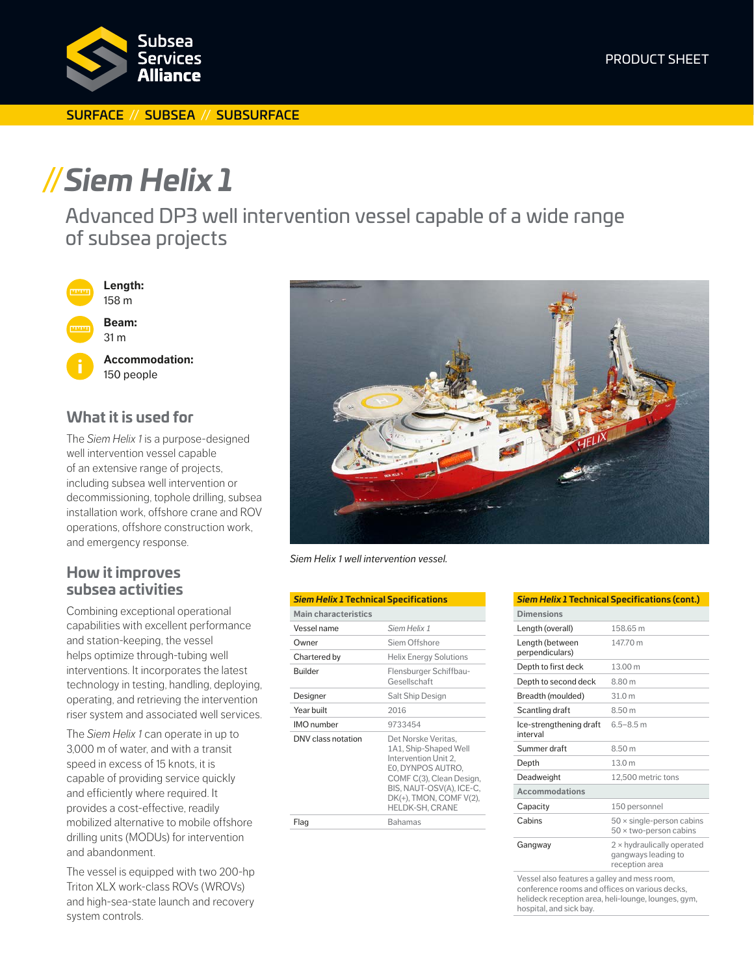

#### SURFACE // SUBSEA // SUBSURFACE

# **//***Siem Helix 1*

Advanced DP3 well intervention vessel capable of a wide range of subsea projects



## **What it is used for**

The *Siem Helix 1* is a purpose-designed well intervention vessel capable of an extensive range of projects, including subsea well intervention or decommissioning, tophole drilling, subsea installation work, offshore crane and ROV operations, offshore construction work, and emergency response.

### **How it improves subsea activities**

Combining exceptional operational capabilities with excellent performance and station-keeping, the vessel helps optimize through-tubing well interventions. It incorporates the latest technology in testing, handling, deploying, operating, and retrieving the intervention riser system and associated well services.

The *Siem Helix 1* can operate in up to 3,000 m of water, and with a transit speed in excess of 15 knots, it is capable of providing service quickly and efficiently where required. It provides a cost-effective, readily mobilized alternative to mobile offshore drilling units (MODUs) for intervention and abandonment.

The vessel is equipped with two 200-hp Triton XLX work-class ROVs (WROVs) and high-sea-state launch and recovery system controls.



*Siem Helix 1 well intervention vessel.*

| <b>Siem Helix 1 Technical Specifications</b> |                                                                                                                                                                                                        |  |
|----------------------------------------------|--------------------------------------------------------------------------------------------------------------------------------------------------------------------------------------------------------|--|
| <b>Main characteristics</b>                  |                                                                                                                                                                                                        |  |
| Vessel name                                  | Siem Helix 1                                                                                                                                                                                           |  |
| Owner                                        | Siem Offshore                                                                                                                                                                                          |  |
| Chartered by                                 | <b>Helix Energy Solutions</b>                                                                                                                                                                          |  |
| <b>Builder</b>                               | Flensburger Schiffbau-<br>Gesellschaft                                                                                                                                                                 |  |
| Designer                                     | Salt Ship Design                                                                                                                                                                                       |  |
| Year built                                   | 2016                                                                                                                                                                                                   |  |
| IMO number                                   | 9733454                                                                                                                                                                                                |  |
| DNV class notation                           | Det Norske Veritas,<br>1A1, Ship-Shaped Well<br>Intervention Unit 2,<br>EO, DYNPOS AUTRO,<br>COMF C(3), Clean Design,<br>BIS, NAUT-OSV(A), ICE-C,<br>DK(+), TMON, COMF V(2),<br><b>HELDK-SH. CRANE</b> |  |
| Flaq                                         | <b>Bahamas</b>                                                                                                                                                                                         |  |

| <b>Siem Helix 1 Technical Specifications (cont.)</b> |                                                                            |
|------------------------------------------------------|----------------------------------------------------------------------------|
| <b>Dimensions</b>                                    |                                                                            |
| Length (overall)                                     | 158 65 m                                                                   |
| Length (between<br>perpendiculars)                   | 147.70 m                                                                   |
| Depth to first deck                                  | 13.00 m                                                                    |
| Depth to second deck                                 | 8.80 m                                                                     |
| Breadth (moulded)                                    | 31.0 <sub>m</sub>                                                          |
| Scantling draft                                      | 8.50 m                                                                     |
| Ice-strengthening draft<br>interval                  | $6.5 - 8.5$ m                                                              |
| Summer draft                                         | 8.50 m                                                                     |
| Depth                                                | 13.0 m                                                                     |
| Deadweight                                           | 12.500 metric tons                                                         |
| <b>Accommodations</b>                                |                                                                            |
| Capacity                                             | 150 personnel                                                              |
| Cabins                                               | $50 \times$ single-person cabins<br>$50 \times$ two-person cabins          |
| Gangway                                              | $2 \times$ hydraulically operated<br>gangways leading to<br>reception area |

Vessel also features a galley and mess room, conference rooms and offices on various decks, helideck reception area, heli-lounge, lounges, gym, hospital, and sick bay.